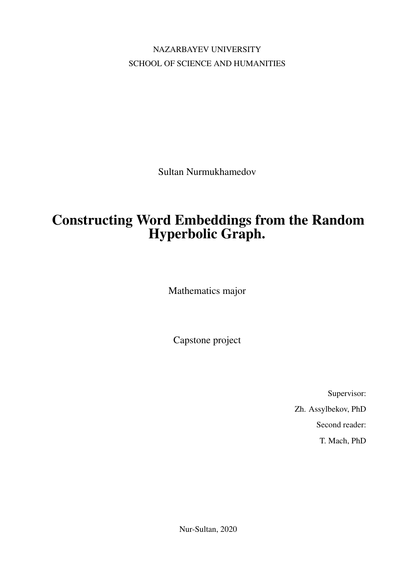NAZARBAYEV UNIVERSITY SCHOOL OF SCIENCE AND HUMANITIES

Sultan Nurmukhamedov

### Constructing Word Embeddings from the Random Hyperbolic Graph.

Mathematics major

Capstone project

Supervisor: Zh. Assylbekov, PhD Second reader: T. Mach, PhD

Nur-Sultan, 2020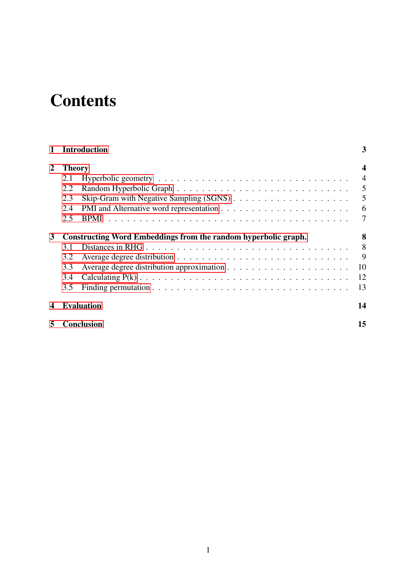## **Contents**

| $\mathbf{1}$     | <b>Introduction</b>                                            |                   |                 |  |  |  |
|------------------|----------------------------------------------------------------|-------------------|-----------------|--|--|--|
| 2                | <b>Theory</b>                                                  |                   |                 |  |  |  |
|                  | 2.1                                                            |                   | $\overline{4}$  |  |  |  |
|                  | 2.2                                                            |                   | $\overline{5}$  |  |  |  |
|                  | 2.3                                                            |                   | $\overline{5}$  |  |  |  |
|                  | 2.4                                                            |                   | $6\overline{6}$ |  |  |  |
|                  | 2.5                                                            | BPMI              | $\overline{7}$  |  |  |  |
| 3                | Constructing Word Embeddings from the random hyperbolic graph. |                   |                 |  |  |  |
|                  | 3.1                                                            |                   | 8               |  |  |  |
|                  | 3.2                                                            |                   | 9               |  |  |  |
|                  | 3.3                                                            |                   | 10              |  |  |  |
|                  | 3.4                                                            |                   | 12              |  |  |  |
|                  | 3.5                                                            |                   | 13              |  |  |  |
| $\boldsymbol{4}$ |                                                                | <b>Evaluation</b> | 14              |  |  |  |
| 5                |                                                                | <b>Conclusion</b> | 15              |  |  |  |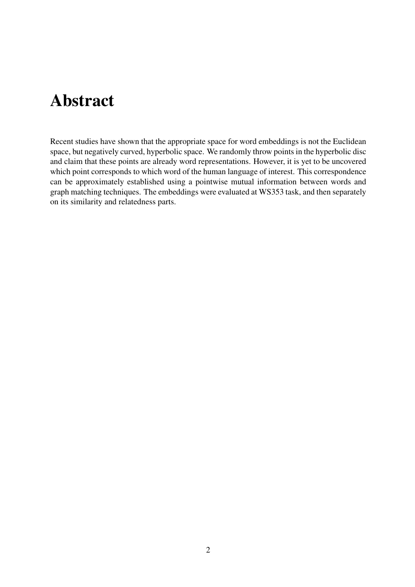### Abstract

Recent studies have shown that the appropriate space for word embeddings is not the Euclidean space, but negatively curved, hyperbolic space. We randomly throw points in the hyperbolic disc and claim that these points are already word representations. However, it is yet to be uncovered which point corresponds to which word of the human language of interest. This correspondence can be approximately established using a pointwise mutual information between words and graph matching techniques. The embeddings were evaluated at WS353 task, and then separately on its similarity and relatedness parts.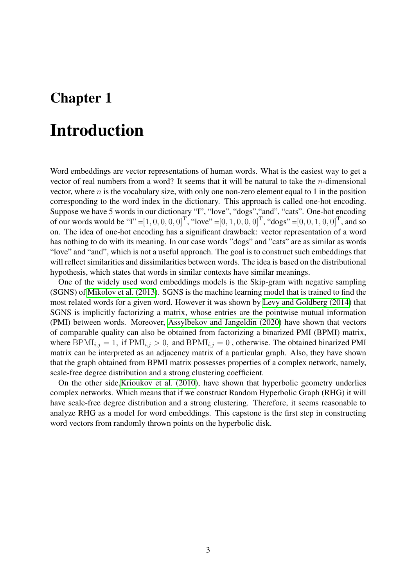### <span id="page-3-0"></span>Introduction

Word embeddings are vector representations of human words. What is the easiest way to get a vector of real numbers from a word? It seems that it will be natural to take the  $n$ -dimensional vector, where  $n$  is the vocabulary size, with only one non-zero element equal to 1 in the position corresponding to the word index in the dictionary. This approach is called one-hot encoding. Suppose we have 5 words in our dictionary "I", "love", "dogs","and", "cats". One-hot encoding of our words would be "I" =  $[1, 0, 0, 0, 0]$ ", "love" =  $[0, 1, 0, 0, 0]$ ", "dogs" =  $[0, 0, 1, 0, 0]$ ", and so on. The idea of one-hot encoding has a significant drawback: vector representation of a word has nothing to do with its meaning. In our case words "dogs" and "cats" are as similar as words "love" and "and", which is not a useful approach. The goal is to construct such embeddings that will reflect similarities and dissimilarities between words. The idea is based on the distributional hypothesis, which states that words in similar contexts have similar meanings.

One of the widely used word embeddings models is the Skip-gram with negative sampling (SGNS) of [Mikolov et al. \(2013\)](#page-16-0). SGNS is the machine learning model that is trained to find the most related words for a given word. However it was shown by [Levy and Goldberg \(2014\)](#page-16-1) that SGNS is implicitly factorizing a matrix, whose entries are the pointwise mutual information (PMI) between words. Moreover, [Assylbekov and Jangeldin \(2020\)](#page-16-2) have shown that vectors of comparable quality can also be obtained from factorizing a binarized PMI (BPMI) matrix, where  $BPMI_{i,j} = 1$ , if  $PMI_{i,j} > 0$ , and  $BPMI_{i,j} = 0$ , otherwise. The obtained binarized PMI matrix can be interpreted as an adjacency matrix of a particular graph. Also, they have shown that the graph obtained from BPMI matrix possesses properties of a complex network, namely, scale-free degree distribution and a strong clustering coefficient.

On the other side[,Krioukov et al. \(2010\)](#page-16-3), have shown that hyperbolic geometry underlies complex networks. Which means that if we construct Random Hyperbolic Graph (RHG) it will have scale-free degree distribution and a strong clustering. Therefore, it seems reasonable to analyze RHG as a model for word embeddings. This capstone is the first step in constructing word vectors from randomly thrown points on the hyperbolic disk.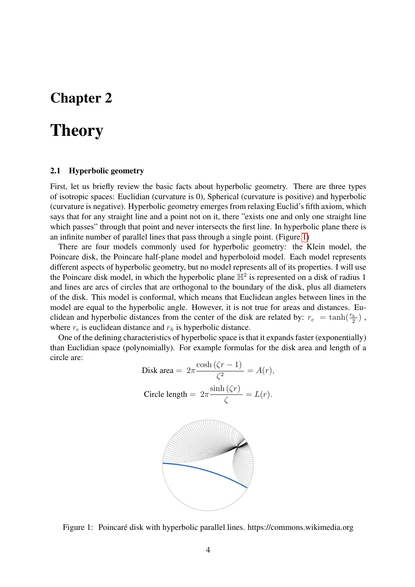### <span id="page-4-0"></span>**Theory**

#### <span id="page-4-1"></span>2.1 Hyperbolic geometry

First, let us briefly review the basic facts about hyperbolic geometry. There are three types of isotropic spaces: Euclidian (curvature is 0), Spherical (curvature is positive) and hyperbolic (curvature is negative). Hyperbolic geometry emerges from relaxing Euclid's fifth axiom, which says that for any straight line and a point not on it, there "exists one and only one straight line which passes" through that point and never intersects the first line. In hyperbolic plane there is an infinite number of parallel lines that pass through a single point. (Figure [1\)](#page-4-2)

There are four models commonly used for hyperbolic geometry: the Klein model, the Poincare disk, the Poincare half-plane model and hyperboloid model. Each model represents different aspects of hyperbolic geometry, but no model represents all of its properties. I will use the Poincare disk model, in which the hyperbolic plane  $\mathbb{H}^2$  is represented on a disk of radius 1 and lines are arcs of circles that are orthogonal to the boundary of the disk, plus all diameters of the disk. This model is conformal, which means that Euclidean angles between lines in the model are equal to the hyperbolic angle. However, it is not true for areas and distances. Euclidean and hyperbolic distances from the center of the disk are related by:  $r_e = \tanh(\frac{r_h}{2})$ , where  $r_e$  is euclidean distance and  $r_h$  is hyperbolic distance.

One of the defining characteristics of hyperbolic space is that it expands faster (exponentially) than Euclidian space (polynomially). For example formulas for the disk area and length of a circle are:

Disk area = 
$$
2\pi \frac{\cosh(\zeta r - 1)}{\zeta^2} = A(r)
$$
,  
Circle length =  $2\pi \frac{\sinh(\zeta r)}{\zeta} = L(r)$ .



<span id="page-4-2"></span>Figure 1: Poincaré disk with hyperbolic parallel lines. https://commons.wikimedia.org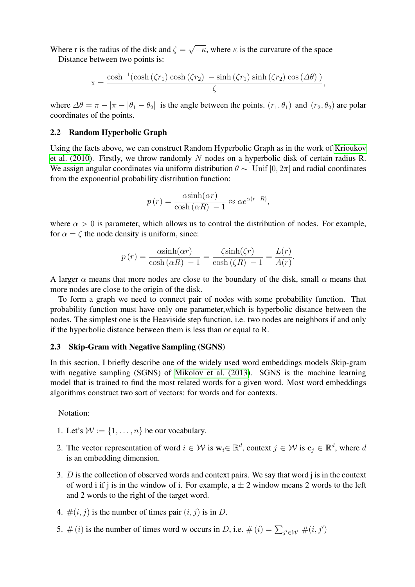Where r is the radius of the disk and  $\zeta =$ √  $\overline{-\kappa}$ , where  $\kappa$  is the curvature of the space

Distance between two points is:

$$
x = \frac{\cosh^{-1}(\cosh(\zeta r_1)\cosh(\zeta r_2) - \sinh(\zeta r_1)\sinh(\zeta r_2)\cos(\Delta\theta))}{\zeta},
$$

where  $\Delta\theta = \pi - |\pi - \theta_1 - \theta_2|$  is the angle between the points.  $(r_1, \theta_1)$  and  $(r_2, \theta_2)$  are polar coordinates of the points.

### <span id="page-5-0"></span>2.2 Random Hyperbolic Graph

Using the facts above, we can construct Random Hyperbolic Graph as in the work of [Krioukov](#page-16-3) [et al. \(2010\)](#page-16-3). Firstly, we throw randomly  $N$  nodes on a hyperbolic disk of certain radius R. We assign angular coordinates via uniform distribution  $\theta \sim$  Unif [0, 2π] and radial coordinates from the exponential probability distribution function:

$$
p(r) = \frac{\alpha \sinh(\alpha r)}{\cosh(\alpha R) - 1} \approx \alpha e^{\alpha (r - R)},
$$

where  $\alpha > 0$  is parameter, which allows us to control the distribution of nodes. For example, for  $\alpha = \zeta$  the node density is uniform, since:

$$
p(r) = \frac{\alpha \sinh(\alpha r)}{\cosh(\alpha R) - 1} = \frac{\zeta \sinh(\zeta r)}{\cosh(\zeta R) - 1} = \frac{L(r)}{A(r)}.
$$

A larger  $\alpha$  means that more nodes are close to the boundary of the disk, small  $\alpha$  means that more nodes are close to the origin of the disk.

To form a graph we need to connect pair of nodes with some probability function. That probability function must have only one parameter,which is hyperbolic distance between the nodes. The simplest one is the Heaviside step function, i.e. two nodes are neighbors if and only if the hyperbolic distance between them is less than or equal to R.

### <span id="page-5-1"></span>2.3 Skip-Gram with Negative Sampling (SGNS)

In this section, I briefly describe one of the widely used word embeddings models Skip-gram with negative sampling (SGNS) of [Mikolov et al. \(2013\)](#page-16-0). SGNS is the machine learning model that is trained to find the most related words for a given word. Most word embeddings algorithms construct two sort of vectors: for words and for contexts.

Notation:

- 1. Let's  $W := \{1, \ldots, n\}$  be our vocabulary.
- 2. The vector representation of word  $i \in \mathcal{W}$  is  $\mathbf{w}_i \in \mathbb{R}^d$ , context  $j \in \mathcal{W}$  is  $\mathbf{c}_j \in \mathbb{R}^d$ , where d is an embedding dimension.
- 3.  $\overline{D}$  is the collection of observed words and context pairs. We say that word j is in the context of word i if j is in the window of i. For example,  $a \pm 2$  window means 2 words to the left and 2 words to the right of the target word.
- 4.  $\#(i, j)$  is the number of times pair  $(i, j)$  is in D.
- 5.  $\#(i)$  is the number of times word w occurs in D, i.e.  $\#(i) = \sum_{j' \in \mathcal{W}} \#(i, j')$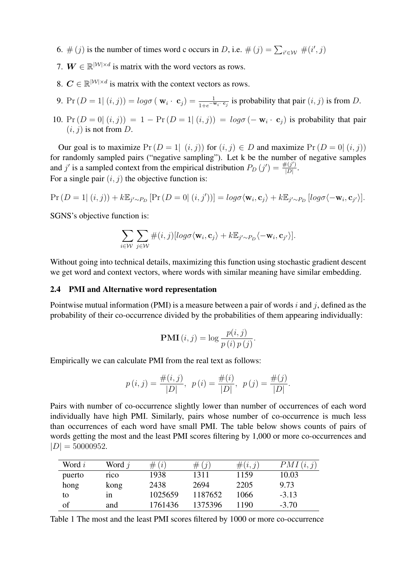- 6.  $\#(j)$  is the number of times word c occurs in D, i.e.  $\#(j) = \sum_{i' \in \mathcal{W}} \#(i', j)$
- 7.  $W \in \mathbb{R}^{|\mathcal{W}| \times d}$  is matrix with the word vectors as rows.
- 8.  $C \in \mathbb{R}^{|\mathcal{W}| \times d}$  is matrix with the context vectors as rows.
- 9.  $Pr(D = 1 | (i, j)) = log\sigma (\mathbf{w}_i \cdot \mathbf{c}_j) = \frac{1}{1 + e^{-\mathbf{w}_i \cdot \mathbf{c}_j}}$  is probability that pair  $(i, j)$  is from D.
- 10. Pr  $(D = 0 | (i, j)) = 1 Pr(D = 1 | (i, j)) = log\sigma(-\mathbf{w}_i \cdot \mathbf{c}_j)$  is probability that pair  $(i, j)$  is not from D.

Our goal is to maximize  $Pr(D = 1 | (i, j))$  for  $(i, j) \in D$  and maximize  $Pr(D = 0 | (i, j))$ for randomly sampled pairs ("negative sampling"). Let k be the number of negative samples and j' is a sampled context from the empirical distribution  $P_D(j') = \frac{\#(j')}{|D|}$  $\frac{F(j')}{|D|}$ . For a single pair  $(i, j)$  the objective function is:

$$
\Pr(D=1| (i,j)) + k \mathbb{E}_{j' \sim P_D} [\Pr(D=0| (i,j'))] = log \sigma \langle \mathbf{w}_i, \mathbf{c}_j \rangle + k \mathbb{E}_{j' \sim P_D} [log \sigma \langle -\mathbf{w}_i, \mathbf{c}_{j'} \rangle].
$$

SGNS's objective function is:

$$
\sum_{i\in\mathcal{W}}\sum_{j\in\mathcal{W}}\#(i,j)[log\sigma\langle\mathbf{w}_i,\mathbf{c}_j\rangle+k\mathbb{E}_{j'\sim P_D}\langle-\mathbf{w}_i,\mathbf{c}_{j'}\rangle].
$$

Without going into technical details, maximizing this function using stochastic gradient descent we get word and context vectors, where words with similar meaning have similar embedding.

#### <span id="page-6-0"></span>2.4 PMI and Alternative word representation

Pointwise mutual information (PMI) is a measure between a pair of words i and j, defined as the probability of their co-occurrence divided by the probabilities of them appearing individually:

$$
PMI(i, j) = \log \frac{p(i, j)}{p(i) p(j)}.
$$

Empirically we can calculate PMI from the real text as follows:

$$
p(i, j) = \frac{\#(i, j)}{|D|}, \ p(i) = \frac{\#(i)}{|D|}, \ p(j) = \frac{\#(j)}{|D|}.
$$

Pairs with number of co-occurrence slightly lower than number of occurrences of each word individually have high PMI. Similarly, pairs whose number of co-occurrence is much less than occurrences of each word have small PMI. The table below shows counts of pairs of words getting the most and the least PMI scores filtering by 1,000 or more co-occurrences and  $|D| = 50000952.$ 

| Word i | Word $i$ | $\#(i)$ | $\#(i)$ | $\#(i,j)$ | PMI(i, j) |
|--------|----------|---------|---------|-----------|-----------|
| puerto | rico     | 1938    | 1311    | 1159      | 10.03     |
| hong   | kong     | 2438    | 2694    | 2205      | 9.73      |
| to     | 1n       | 1025659 | 1187652 | 1066      | $-3.13$   |
| of     | and      | 1761436 | 1375396 | 1190      | $-3.70$   |

Table 1 The most and the least PMI scores filtered by 1000 or more co-occurrence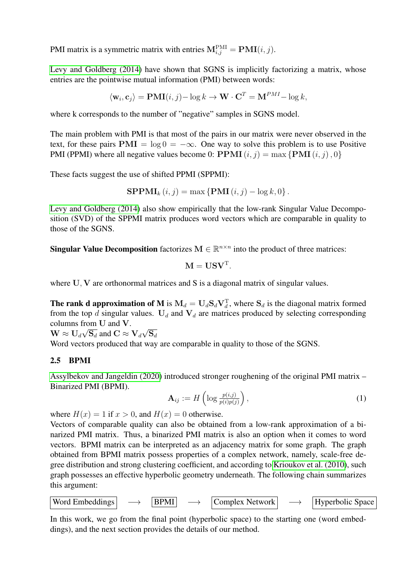PMI matrix is a symmetric matrix with entries  $M_{i,j}^{\text{PMI}} = \text{PMI}(i,j)$ .

[Levy and Goldberg \(2014\)](#page-16-1) have shown that SGNS is implicitly factorizing a matrix, whose entries are the pointwise mutual information (PMI) between words:

$$
\langle \mathbf{w}_i, \mathbf{c}_j \rangle = \mathbf{PMI}(i, j) - \log k \to \mathbf{W} \cdot \mathbf{C}^T = \mathbf{M}^{PMI} - \log k,
$$

where k corresponds to the number of "negative" samples in SGNS model.

The main problem with PMI is that most of the pairs in our matrix were never observed in the text, for these pairs  $PMI = \log 0 = -\infty$ . One way to solve this problem is to use Positive PMI (PPMI) where all negative values become 0:  $PPMI(i, j) = max \{PMI(i, j), 0\}$ 

These facts suggest the use of shifted PPMI (SPPMI):

$$
\mathbf{SPPMI}_{k}(i,j) = \max \left\{ \mathbf{PMI}(i,j) - \log k, 0 \right\}.
$$

[Levy and Goldberg \(2014\)](#page-16-1) also show empirically that the low-rank Singular Value Decomposition (SVD) of the SPPMI matrix produces word vectors which are comparable in quality to those of the SGNS.

**Singular Value Decomposition** factorizes  $M \in \mathbb{R}^{n \times n}$  into the product of three matrices:

$$
\mathbf{M} = \mathbf{U}\mathbf{S}\mathbf{V}^{\mathrm{T}}.
$$

where U, V are orthonormal matrices and S is a diagonal matrix of singular values.

**The rank d approximation of M** is  $M_d = U_d S_d V_d^T$ , where  $S_d$  is the diagonal matrix formed from the top d singular values.  $U_d$  and  $V_d$  are matrices produced by selecting corresponding columns from U and V. √

 $\mathbf{W} \approx \mathbf{U}_d \sqrt{\mathbf{S}_d}$  and  $\mathbf{C} \approx \mathbf{V}_d$  $\mathrm{S}_d$ 

Word vectors produced that way are comparable in quality to those of the SGNS.

### <span id="page-7-0"></span>2.5 BPMI

[Assylbekov and Jangeldin \(2020\)](#page-16-2) introduced stronger roughening of the original PMI matrix – Binarized PMI (BPMI).

<span id="page-7-1"></span>
$$
\mathbf{A}_{ij} := H\left(\log \frac{p(i,j)}{p(i)p(j)}\right),\tag{1}
$$

where  $H(x) = 1$  if  $x > 0$ , and  $H(x) = 0$  otherwise.

Vectors of comparable quality can also be obtained from a low-rank approximation of a binarized PMI matrix. Thus, a binarized PMI matrix is also an option when it comes to word vectors. BPMI matrix can be interpreted as an adjacency matrix for some graph. The graph obtained from BPMI matrix possess properties of a complex network, namely, scale-free degree distribution and strong clustering coefficient, and according to [Krioukov et al. \(2010\)](#page-16-3), such graph possesses an effective hyperbolic geometry underneath. The following chain summarizes this argument:



In this work, we go from the final point (hyperbolic space) to the starting one (word embeddings), and the next section provides the details of our method.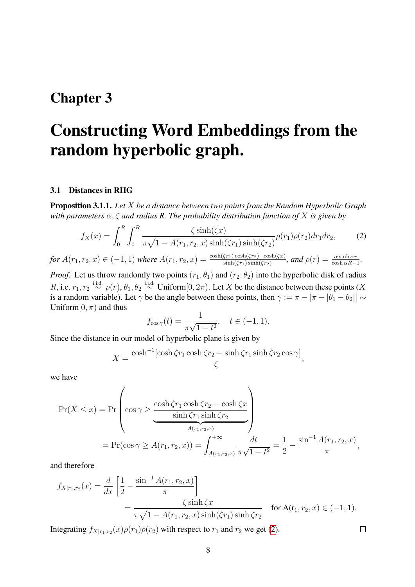### <span id="page-8-0"></span>Constructing Word Embeddings from the random hyperbolic graph.

#### <span id="page-8-1"></span>3.1 Distances in RHG

<span id="page-8-3"></span>Proposition 3.1.1. *Let* X *be a distance between two points from the Random Hyperbolic Graph with parameters* α, ζ *and radius R. The probability distribution function of* X *is given by*

$$
f_X(x) = \int_0^R \int_0^R \frac{\zeta \sinh(\zeta x)}{\pi \sqrt{1 - A(r_1, r_2, x)} \sinh(\zeta r_1) \sinh(\zeta r_2)} \rho(r_1) \rho(r_2) dr_1 dr_2, \tag{2}
$$
  

$$
r_2(x) \in (-1, 1)
$$
 where  $A(r_1, r_2, x) = \frac{\cosh(\zeta r_1) \cosh(\zeta r_2) - \cosh(\zeta x)}{\cosh(\zeta r_2) \cosh(\zeta r_2)} \text{ and } \rho(r) = \frac{\alpha \sinh \alpha r}{\cosh(\zeta r_2)}$ 

*for*  $A(r_1, r_2, x) \in (-1, 1)$  *where*  $A(r_1, r_2, x)$  $\frac{\zeta(r_1)\cosh(\zeta r_2)-\cosh(\zeta x)}{\sinh(\zeta r_1)\sinh(\zeta r_2)},$  and  $\rho(r)=\frac{\alpha\sinh\alpha r_1}{\cosh\alpha R_1}$  $\frac{\alpha \sinh \alpha r}{\cosh \alpha R-1}$ 

*Proof.* Let us throw randomly two points  $(r_1, \theta_1)$  and  $(r_2, \theta_2)$  into the hyperbolic disk of radius R, i.e.  $r_1, r_2 \stackrel{\text{i.i.d.}}{\sim} \rho(r), \theta_1, \theta_2 \stackrel{\text{i.i.d.}}{\sim} \text{Uniform}[0, 2\pi)$ . Let X be the distance between these points (X is a random variable). Let  $\gamma$  be the angle between these points, then  $\gamma := \pi - |\pi - |\theta_1 - \theta_2|| \sim$ Uniform $[0, \pi)$  and thus

<span id="page-8-2"></span>
$$
f_{\cos \gamma}(t) = \frac{1}{\pi \sqrt{1 - t^2}}, \quad t \in (-1, 1).
$$

Since the distance in our model of hyperbolic plane is given by

$$
X = \frac{\cosh^{-1}[\cosh \zeta r_1 \cosh \zeta r_2 - \sinh \zeta r_1 \sinh \zeta r_2 \cos \gamma]}{\zeta},
$$

we have

$$
\Pr(X \le x) = \Pr\left(\cos \gamma \ge \frac{\cosh \zeta r_1 \cosh \zeta r_2 - \cosh \zeta x}{\sinh \zeta r_1 \sinh \zeta r_2}\right)
$$

$$
= \Pr(\cos \gamma \ge A(r_1, r_2, x)) = \int_{A(r_1, r_2, x)}^{+\infty} \frac{dt}{\pi \sqrt{1 - t^2}} = \frac{1}{2} - \frac{\sin^{-1} A(r_1, r_2, x)}{\pi},
$$

and therefore

$$
f_{X|r_1,r_2}(x) = \frac{d}{dx} \left[ \frac{1}{2} - \frac{\sin^{-1} A(r_1, r_2, x)}{\pi} \right]
$$
  
= 
$$
\frac{\zeta \sinh \zeta x}{\pi \sqrt{1 - A(r_1, r_2, x)} \sinh(\zeta r_1) \sinh \zeta r_2}
$$
 for A(r<sub>1</sub>, r<sub>2</sub>, x) \in (-1, 1).

Integrating  $f_{X|r_1,r_2}(x)\rho(r_1)\rho(r_2)$  with respect to  $r_1$  and  $r_2$  we get [\(2\)](#page-8-2).

 $\Box$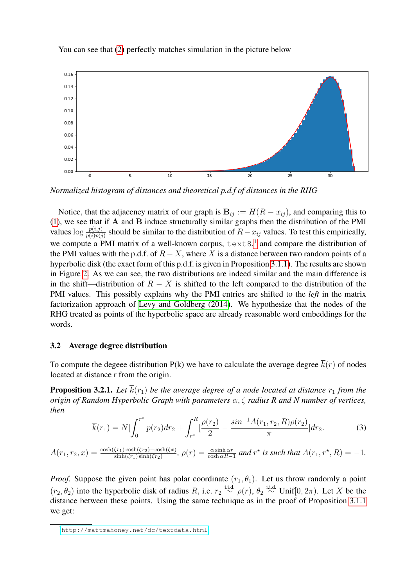



*Normalized histogram of distances and theoretical p.d.f of distances in the RHG*

Notice, that the adjacency matrix of our graph is  $B_{ij} := H(R - x_{ij})$ , and comparing this to [\(1\)](#page-7-1), we see that if A and B induce structurally similar graphs then the distribution of the PMI values  $\log \frac{p(i,j)}{p(i)p(j)}$  should be similar to the distribution of  $R-x_{ij}$  values. To test this empirically, we compute a PMI matrix of a well-known corpus,  $text{text } 8$ , and compare the distribution of the PMI values with the p.d.f. of  $R - X$ , where X is a distance between two random points of a hyperbolic disk (the exact form of this p.d.f. is given in Proposition [3.1.1\)](#page-8-3). The results are shown in Figure [2.](#page-10-1) As we can see, the two distributions are indeed similar and the main difference is in the shift—distribution of  $R - X$  is shifted to the left compared to the distribution of the PMI values. This possibly explains why the PMI entries are shifted to the *left* in the matrix factorization approach of [Levy and Goldberg \(2014\)](#page-16-1). We hypothesize that the nodes of the RHG treated as points of the hyperbolic space are already reasonable word embeddings for the words.

#### <span id="page-9-0"></span>3.2 Average degree distribution

To compute the degeee distribution P(k) we have to calculate the average degree  $\overline{k}(r)$  of nodes located at distance r from the origin.

<span id="page-9-2"></span>**Proposition 3.2.1.** Let  $\overline{k}(r_1)$  be the average degree of a node located at distance  $r_1$  from the *origin of Random Hyperbolic Graph with parameters* α, ζ *radius R and N number of vertices, then*

$$
\overline{k}(r_1) = N \left[ \int_0^{r^*} p(r_2) dr_2 + \int_{r^*}^R \left[ \frac{\rho(r_2)}{2} - \frac{\sin^{-1} A(r_1, r_2, R) \rho(r_2)}{\pi} \right] dr_2. \tag{3}
$$

 $A(r_1, r_2, x) = \frac{\cosh(\zeta r_1)\cosh(\zeta r_2)-\cosh(\zeta x)}{\sinh(\zeta r_1)\sinh(\zeta r_2)}$ ,  $\rho(r) = \frac{\alpha \sinh \alpha r}{\cosh \alpha R-1}$  and  $r^*$  is such that  $A(r_1, r^*, R) = -1$ .

*Proof.* Suppose the given point has polar coordinate  $(r_1, \theta_1)$ . Let us throw randomly a point  $(r_2, \theta_2)$  into the hyperbolic disk of radius R, i.e.  $r_2 \stackrel{\text{i.i.d.}}{\sim} \rho(r)$ ,  $\theta_2 \stackrel{\text{i.i.d.}}{\sim} \text{Unif}[0, 2\pi)$ . Let X be the distance between these points. Using the same technique as in the proof of Proposition [3.1.1](#page-8-3) we get:

<span id="page-9-1"></span><sup>1</sup><http://mattmahoney.net/dc/textdata.html>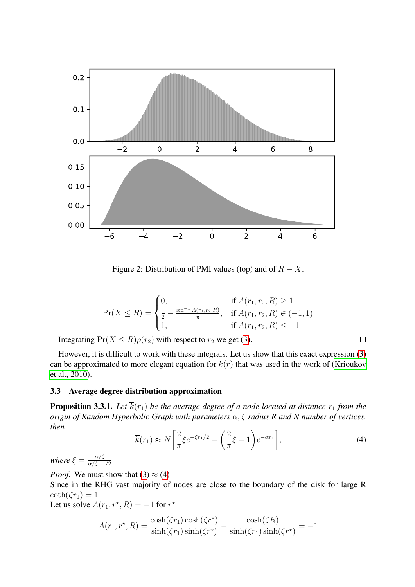

<span id="page-10-1"></span>Figure 2: Distribution of PMI values (top) and of  $R - X$ .

$$
\Pr(X \le R) = \begin{cases} 0, & \text{if } A(r_1, r_2, R) \ge 1 \\ \frac{1}{2} - \frac{\sin^{-1} A(r_1, r_2, R)}{\pi}, & \text{if } A(r_1, r_2, R) \in (-1, 1) \\ 1, & \text{if } A(r_1, r_2, R) \le -1 \end{cases}
$$

Integrating  $Pr(X \le R)\rho(r_2)$  with respect to  $r_2$  we get [\(3\)](#page-9-2).

However, it is difficult to work with these integrals. Let us show that this exact expression [\(3\)](#page-9-2) can be approximated to more elegant equation for  $\overline{k}(r)$  that was used in the work of [\(Krioukov](#page-16-3) [et al., 2010\)](#page-16-3).

#### <span id="page-10-0"></span>3.3 Average degree distribution approximation

<span id="page-10-2"></span>**Proposition 3.3.1.** Let  $\overline{k}(r_1)$  be the average degree of a node located at distance  $r_1$  from the *origin of Random Hyperbolic Graph with parameters* α, ζ *radius R and N number of vertices, then*

$$
\overline{k}(r_1) \approx N \left[ \frac{2}{\pi} \xi e^{-\zeta r_1/2} - \left( \frac{2}{\pi} \xi - 1 \right) e^{-\alpha r_1} \right],\tag{4}
$$

 $\Box$ 

*where*  $\xi = \frac{\alpha/\zeta}{\alpha/\zeta - 1}$  $\alpha/\zeta-1/2$ 

*Proof.* We must show that  $(3) \approx (4)$  $(3) \approx (4)$  $(3) \approx (4)$ 

Since in the RHG vast majority of nodes are close to the boundary of the disk for large R  $\coth(\zeta r_1) = 1.$ 

Let us solve  $A(r_1, r^*, R) = -1$  for  $r^*$ 

$$
A(r_1, r^*, R) = \frac{\cosh(\zeta r_1)\cosh(\zeta r^*)}{\sinh(\zeta r_1)\sinh(\zeta r^*)} - \frac{\cosh(\zeta R)}{\sinh(\zeta r_1)\sinh(\zeta r^*)} = -1
$$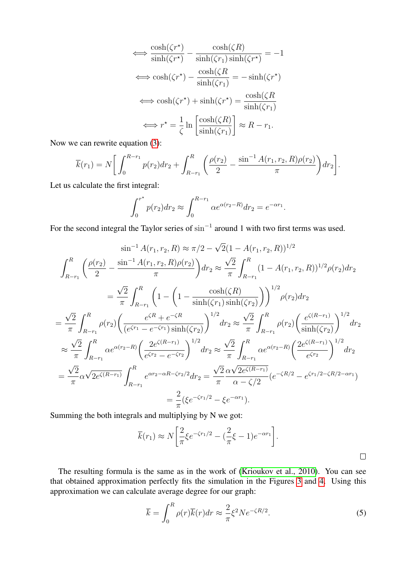$$
\iff \frac{\cosh(\zeta r^*)}{\sinh(\zeta r^*)} - \frac{\cosh(\zeta R)}{\sinh(\zeta r_1)\sinh(\zeta r^*)} = -1
$$

$$
\iff \cosh(\zeta r^*) - \frac{\cosh(\zeta R)}{\sinh(\zeta r_1)} = -\sinh(\zeta r^*)
$$

$$
\iff \cosh(\zeta r^*) + \sinh(\zeta r^*) = \frac{\cosh(\zeta R)}{\sinh(\zeta r_1)}
$$

$$
\iff r^* = \frac{1}{\zeta} \ln \left[ \frac{\cosh(\zeta R)}{\sinh(\zeta r_1)} \right] \approx R - r_1.
$$

Now we can rewrite equation [\(3\)](#page-9-2):

$$
\overline{k}(r_1) = N \bigg[ \int_0^{R-r_1} p(r_2) dr_2 + \int_{R-r_1}^R \bigg( \frac{\rho(r_2)}{2} - \frac{\sin^{-1} A(r_1, r_2, R) \rho(r_2)}{\pi} \bigg) dr_2 \bigg].
$$

Let us calculate the first integral:

$$
\int_0^{r^*} p(r_2) dr_2 \approx \int_0^{R-r_1} \alpha e^{\alpha(r_2 - R)} dr_2 = e^{-\alpha r_1}.
$$

For the second integral the Taylor series of  $\sin^{-1}$  around 1 with two first terms was used.

$$
\sin^{-1} A(r_1, r_2, R) \approx \pi/2 - \sqrt{2}(1 - A(r_1, r_2, R))^{1/2}
$$
\n
$$
\int_{R-r_1}^{R} \left( \frac{\rho(r_2)}{2} - \frac{\sin^{-1} A(r_1, r_2, R)\rho(r_2)}{\pi} \right) dr_2 \approx \frac{\sqrt{2}}{\pi} \int_{R-r_1}^{R} (1 - A(r_1, r_2, R))^{1/2} \rho(r_2) dr_2
$$
\n
$$
= \frac{\sqrt{2}}{\pi} \int_{R-r_1}^{R} \left( 1 - \left( 1 - \frac{\cosh(\zeta R)}{\sinh(\zeta r_1)\sinh(\zeta r_2)} \right) \right)^{1/2} \rho(r_2) dr_2
$$
\n
$$
= \frac{\sqrt{2}}{\pi} \int_{R-r_1}^{R} \rho(r_2) \left( \frac{e^{\zeta R} + e^{-\zeta R}}{(e^{\zeta r_1} - e^{-\zeta r_1})\sinh(\zeta r_2)} \right)^{1/2} dr_2 \approx \frac{\sqrt{2}}{\pi} \int_{R-r_1}^{R} \rho(r_2) \left( \frac{e^{\zeta(R-r_1)}}{\sinh(\zeta r_2)} \right)^{1/2} dr_2
$$
\n
$$
\approx \frac{\sqrt{2}}{\pi} \int_{R-r_1}^{R} \alpha e^{\alpha(r_2 - R)} \left( \frac{2e^{\zeta(R-r_1)}}{e^{\zeta r_2} - e^{-\zeta r_2}} \right)^{1/2} dr_2 \approx \frac{\sqrt{2}}{\pi} \int_{R-r_1}^{R} \alpha e^{\alpha(r_2 - R)} \left( \frac{2e^{\zeta(R-r_1)}}{e^{\zeta r_2}} \right)^{1/2} dr_2
$$
\n
$$
= \frac{\sqrt{2}}{\pi} \alpha \sqrt{2e^{\zeta(R-r_1)}} \int_{R-r_1}^{R} e^{\alpha r_2 - \alpha R - \zeta r_2/2} dr_2 = \frac{\sqrt{2}}{\pi} \frac{\alpha \sqrt{2e^{\zeta(R-r_1)}}}{\alpha - \zeta/2} (e^{-\zeta R/2} - e^{\zeta r_1/2} - \zeta R/2 - \alpha r_1)
$$
\n
$$
= \frac{2}{\pi} (\xi e^{-\zeta r
$$

Summing the both integrals and multiplying by N we got:

$$
\overline{k}(r_1) \approx N \left[ \frac{2}{\pi} \xi e^{-\zeta r_1/2} - \left( \frac{2}{\pi} \xi - 1 \right) e^{-\alpha r_1} \right].
$$

The resulting formula is the same as in the work of [\(Krioukov et al., 2010\)](#page-16-3). You can see that obtained approximation perfectly fits the simulation in the Figures [3](#page-12-1) and [4.](#page-12-2) Using this approximation we can calculate average degree for our graph:

$$
\overline{k} = \int_0^R \rho(r)\overline{k}(r)dr \approx \frac{2}{\pi}\xi^2 N e^{-\zeta R/2}.
$$
 (5)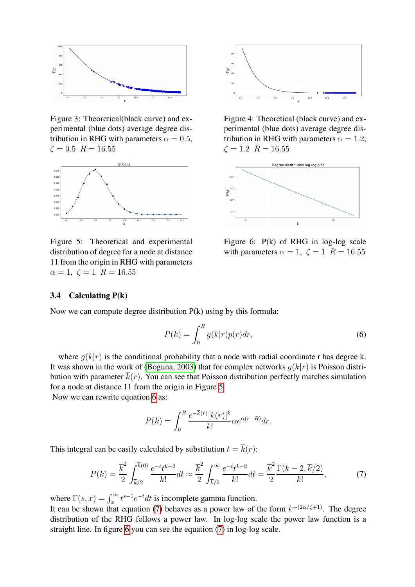

<span id="page-12-1"></span>Figure 3: Theoretical(black curve) and experimental (blue dots) average degree distribution in RHG with parameters  $\alpha = 0.5$ ,  $\zeta = 0.5$   $R = 16.55$ 



<span id="page-12-3"></span>Figure 5: Theoretical and experimental distribution of degree for a node at distance 11 from the origin in RHG with parameters  $\alpha = 1, \zeta = 1$   $R = 16.55$ 



<span id="page-12-2"></span>Figure 4: Theoretical (black curve) and experimental (blue dots) average degree distribution in RHG with parameters  $\alpha = 1.2$ ,  $\zeta = 1.2 \ R = 16.55$ 



<span id="page-12-6"></span><span id="page-12-4"></span>Figure 6: P(k) of RHG in log-log scale with parameters  $\alpha = 1$ ,  $\zeta = 1$   $R = 16.55$ 

#### <span id="page-12-0"></span>3.4 Calculating P(k)

Now we can compute degree distribution P(k) using by this formula:

$$
P(k) = \int_0^R g(k|r)p(r)dr,
$$
\n(6)

where  $g(k|r)$  is the conditional probability that a node with radial coordinate r has degree k. It was shown in the work of [\(Boguna, 2003\)](#page-16-4) that for complex networks  $g(k|r)$  is Poisson distribution with parameter  $\overline{k}(r)$ . You can see that Poisson distribution perfectly matches simulation for a node at distance 11 from the origin in Figure [5](#page-12-3)

Now we can rewrite equation [6](#page-12-4) as:

<span id="page-12-5"></span>
$$
P(k) = \int_0^R \frac{e^{-\overline{k}(r)}[\overline{k}(r)]^k}{k!} \alpha e^{\alpha(r-R)} dr.
$$

This integral can be easily calculated by substitution  $t = \overline{k}(r)$ :

$$
P(k) = \frac{\overline{k}^2}{2} \int_{\overline{k}/2}^{\overline{k}(0)} \frac{e^{-t}t^{k-2}}{k!} dt \approx \frac{\overline{k}^2}{2} \int_{\overline{k}/2}^{\infty} \frac{e^{-t}t^{k-2}}{k!} dt = \frac{\overline{k}^2}{2} \frac{\Gamma(k-2, \overline{k}/2)}{k!},
$$
(7)

where  $\Gamma(s, x) = \int_{x}^{\infty} t^{s-1} e^{-t} dt$  is incomplete gamma function. x

It can be shown that equation [\(7\)](#page-12-5) behaves as a power law of the form  $k^{-(2\alpha/\zeta+1)}$ . The degree distribution of the RHG follows a power law. In log-log scale the power law function is a straight line. In figure [6](#page-12-6) you can see the equation [\(7\)](#page-12-5) in log-log scale.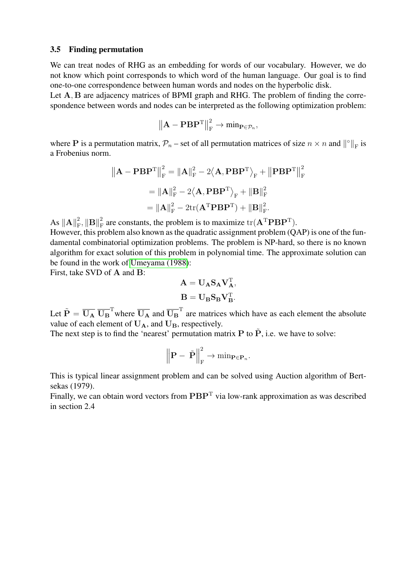#### <span id="page-13-0"></span>3.5 Finding permutation

We can treat nodes of RHG as an embedding for words of our vocabulary. However, we do not know which point corresponds to which word of the human language. Our goal is to find one-to-one correspondence between human words and nodes on the hyperbolic disk.

Let A, B are adjacency matrices of BPMI graph and RHG. The problem of finding the correspondence between words and nodes can be interpreted as the following optimization problem:

$$
\left\|{\mathbf{A}} - {\mathbf{P}}{\mathbf{B}}{\mathbf{P}}^{\mathrm{T}}\right\|_{\mathrm{F}}^2 \to \min_{{\mathbf{P}} \in \mathcal{P}_n},
$$

where P is a permutation matrix,  $\mathcal{P}_n$  – set of all permutation matrices of size  $n \times n$  and  $\| \circ \|_F$  is a Frobenius norm.

$$
\|\mathbf{A} - \mathbf{P}\mathbf{B}\mathbf{P}^{\mathrm{T}}\|_{\mathrm{F}}^{2} = \|\mathbf{A}\|_{\mathrm{F}}^{2} - 2\langle \mathbf{A}, \mathbf{P}\mathbf{B}\mathbf{P}^{\mathrm{T}} \rangle_{\mathrm{F}} + \|\mathbf{P}\mathbf{B}\mathbf{P}^{\mathrm{T}}\|_{\mathrm{F}}^{2}
$$

$$
= \|\mathbf{A}\|_{\mathrm{F}}^{2} - 2\langle \mathbf{A}, \mathbf{P}\mathbf{B}\mathbf{P}^{\mathrm{T}} \rangle_{\mathrm{F}} + \|\mathbf{B}\|_{\mathrm{F}}^{2}
$$

$$
= \|\mathbf{A}\|_{\mathrm{F}}^{2} - 2\mathrm{tr}(\mathbf{A}^{\mathrm{T}}\mathbf{P}\mathbf{B}\mathbf{P}^{\mathrm{T}}) + \|\mathbf{B}\|_{\mathrm{F}}^{2}.
$$

As  $\|\mathbf{A}\|_{\mathrm{F}}^2$  $_{\text{F}}^{2},\left\Vert \mathbf{B}\right\Vert _{\text{F}}^{2}$  $\frac{p}{\text{F}}$  are constants, the problem is to maximize  $\text{tr}(\mathbf{A}^T \mathbf{P} \mathbf{B} \mathbf{P}^T)$ . However, this problem also known as the quadratic assignment problem (QAP) is one of the fundamental combinatorial optimization problems. The problem is NP-hard, so there is no known algorithm for exact solution of this problem in polynomial time. The approximate solution can be found in the work of [Umeyama \(1988\)](#page-16-5):

First, take SVD of A and B:

$$
\mathbf{A} = \mathbf{U}_{\mathbf{A}} \mathbf{S}_{\mathbf{A}} \mathbf{V}_{\mathbf{A}}^{\mathrm{T}},
$$

$$
\mathbf{B} = \mathbf{U}_{\mathbf{B}} \mathbf{S}_{\mathbf{B}} \mathbf{V}_{\mathbf{B}}^{\mathrm{T}}.
$$

Let  $\tilde{P} = \overline{U_A} \overline{U_B}^T$  where  $\overline{U_A}$  and  $\overline{U_B}^T$  are matrices which have as each element the absolute value of each element of  $U_A$ , and  $U_B$ , respectively.

The next step is to find the 'nearest' permutation matrix P to  $\tilde{P}$ , i.e. we have to solve:

$$
\left\|\mathbf{P} - \tilde{\mathbf{P}}\right\|_{\mathrm{F}}^2 \to \min_{\mathbf{P} \in \mathbf{P}_n}.
$$

This is typical linear assignment problem and can be solved using Auction algorithm of Bertsekas (1979).

Finally, we can obtain word vectors from  $\mathbf{PBP}^T$  via low-rank approximation as was described in section 2.4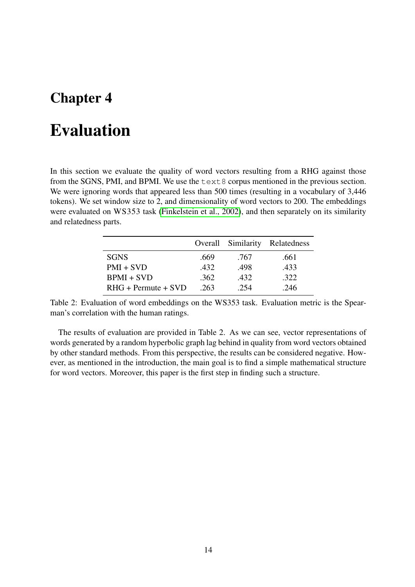### <span id="page-14-0"></span>Evaluation

In this section we evaluate the quality of word vectors resulting from a RHG against those from the SGNS, PMI, and BPMI. We use the text8 corpus mentioned in the previous section. We were ignoring words that appeared less than 500 times (resulting in a vocabulary of 3,446 tokens). We set window size to 2, and dimensionality of word vectors to 200. The embeddings were evaluated on WS353 task [\(Finkelstein et al., 2002\)](#page-16-6), and then separately on its similarity and relatedness parts.

|                       |      | Overall Similarity | Relatedness |
|-----------------------|------|--------------------|-------------|
| <b>SGNS</b>           | .669 | .767               | .661        |
| $PMI + SVD$           | .432 | .498               | .433        |
| $BPMI + SVD$          | .362 | 432                | .322        |
| $RHG + Permute + SVD$ | .263 | .254               | .246        |

Table 2: Evaluation of word embeddings on the WS353 task. Evaluation metric is the Spearman's correlation with the human ratings.

The results of evaluation are provided in Table 2. As we can see, vector representations of words generated by a random hyperbolic graph lag behind in quality from word vectors obtained by other standard methods. From this perspective, the results can be considered negative. However, as mentioned in the introduction, the main goal is to find a simple mathematical structure for word vectors. Moreover, this paper is the first step in finding such a structure.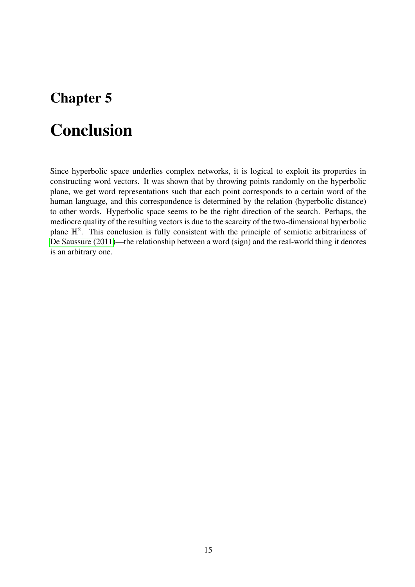### <span id="page-15-0"></span>Conclusion

Since hyperbolic space underlies complex networks, it is logical to exploit its properties in constructing word vectors. It was shown that by throwing points randomly on the hyperbolic plane, we get word representations such that each point corresponds to a certain word of the human language, and this correspondence is determined by the relation (hyperbolic distance) to other words. Hyperbolic space seems to be the right direction of the search. Perhaps, the mediocre quality of the resulting vectors is due to the scarcity of the two-dimensional hyperbolic plane  $\mathbb{H}^2$ . This conclusion is fully consistent with the principle of semiotic arbitrariness of [De Saussure \(2011\)](#page-16-7)—the relationship between a word (sign) and the real-world thing it denotes is an arbitrary one.